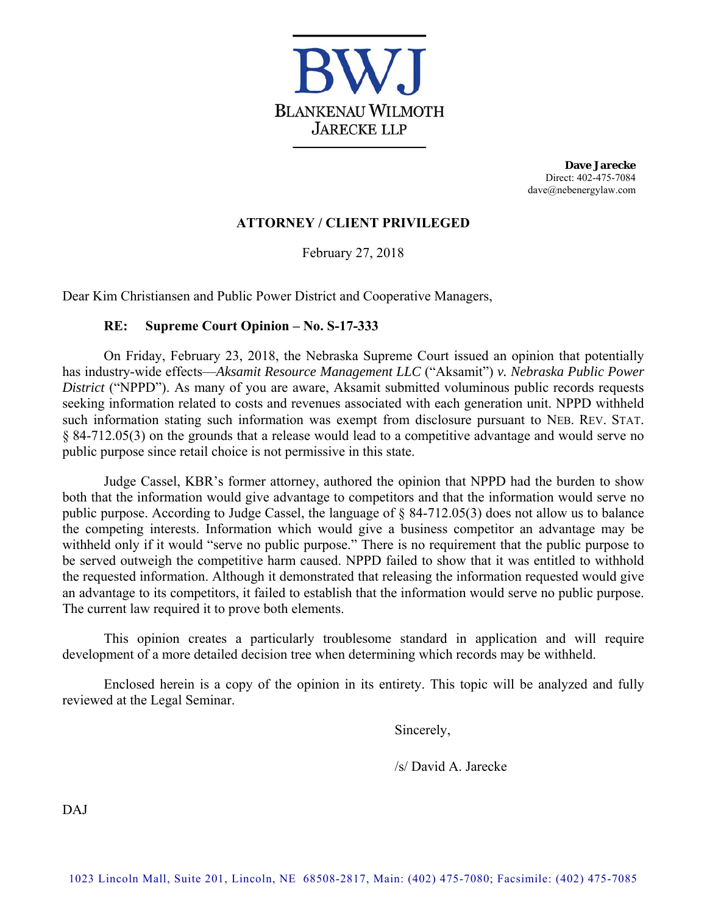

**Dave Jarecke**  Direct: 402-475-7084 dave@nebenergylaw.com

# **ATTORNEY / CLIENT PRIVILEGED**

February 27, 2018

Dear Kim Christiansen and Public Power District and Cooperative Managers,

# **RE: Supreme Court Opinion – No. S-17-333**

On Friday, February 23, 2018, the Nebraska Supreme Court issued an opinion that potentially has industry-wide effects—*Aksamit Resource Management LLC* ("Aksamit") *v. Nebraska Public Power District* ("NPPD"). As many of you are aware, Aksamit submitted voluminous public records requests seeking information related to costs and revenues associated with each generation unit. NPPD withheld such information stating such information was exempt from disclosure pursuant to NEB. REV. STAT. § 84-712.05(3) on the grounds that a release would lead to a competitive advantage and would serve no public purpose since retail choice is not permissive in this state.

Judge Cassel, KBR's former attorney, authored the opinion that NPPD had the burden to show both that the information would give advantage to competitors and that the information would serve no public purpose. According to Judge Cassel, the language of § 84-712.05(3) does not allow us to balance the competing interests. Information which would give a business competitor an advantage may be withheld only if it would "serve no public purpose." There is no requirement that the public purpose to be served outweigh the competitive harm caused. NPPD failed to show that it was entitled to withhold the requested information. Although it demonstrated that releasing the information requested would give an advantage to its competitors, it failed to establish that the information would serve no public purpose. The current law required it to prove both elements.

This opinion creates a particularly troublesome standard in application and will require development of a more detailed decision tree when determining which records may be withheld.

Enclosed herein is a copy of the opinion in its entirety. This topic will be analyzed and fully reviewed at the Legal Seminar.

Sincerely,

/s/ David A. Jarecke

DAJ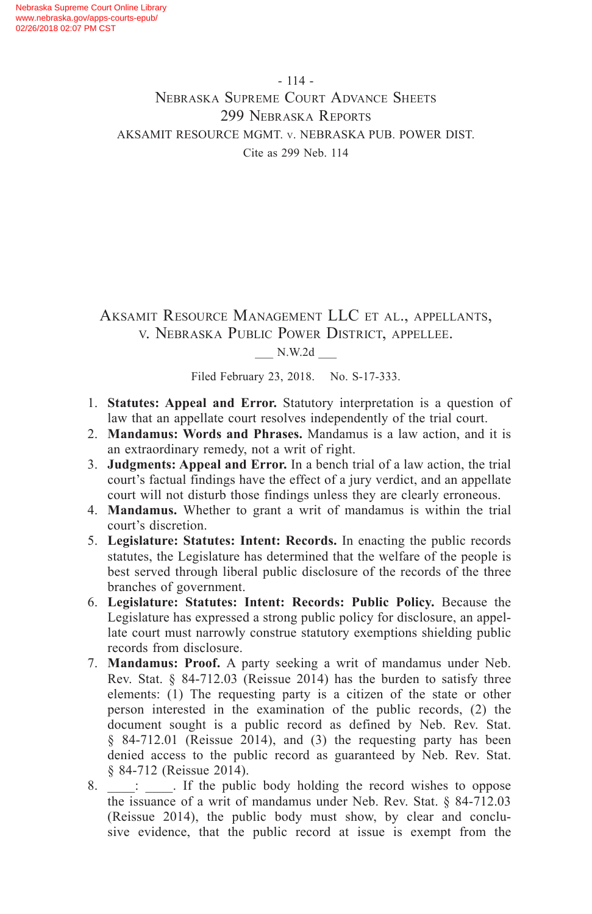- 114 - Nebraska Supreme Court Advance Sheets 299 Nebraska Reports AKSAMIT RESOURCE MGMT. v. NEBRASKA PUB. POWER DIST. Cite as 299 Neb. 114

Aksamit Resource Management LLC et al., appellants, v. Nebraska Public Power District, appellee.

### \_\_\_ N.W.2d \_\_\_

Filed February 23, 2018. No. S-17-333.

- 1. **Statutes: Appeal and Error.** Statutory interpretation is a question of law that an appellate court resolves independently of the trial court.
- 2. **Mandamus: Words and Phrases.** Mandamus is a law action, and it is an extraordinary remedy, not a writ of right.
- 3. **Judgments: Appeal and Error.** In a bench trial of a law action, the trial court's factual findings have the effect of a jury verdict, and an appellate court will not disturb those findings unless they are clearly erroneous.
- 4. **Mandamus.** Whether to grant a writ of mandamus is within the trial court's discretion.
- 5. **Legislature: Statutes: Intent: Records.** In enacting the public records statutes, the Legislature has determined that the welfare of the people is best served through liberal public disclosure of the records of the three branches of government.
- 6. **Legislature: Statutes: Intent: Records: Public Policy.** Because the Legislature has expressed a strong public policy for disclosure, an appellate court must narrowly construe statutory exemptions shielding public records from disclosure.
- 7. **Mandamus: Proof.** A party seeking a writ of mandamus under Neb. Rev. Stat. § 84-712.03 (Reissue 2014) has the burden to satisfy three elements: (1) The requesting party is a citizen of the state or other person interested in the examination of the public records, (2) the document sought is a public record as defined by Neb. Rev. Stat. § 84-712.01 (Reissue 2014), and (3) the requesting party has been denied access to the public record as guaranteed by Neb. Rev. Stat. § 84-712 (Reissue 2014).
- 8.  $\therefore$  If the public body holding the record wishes to oppose the issuance of a writ of mandamus under Neb. Rev. Stat. § 84-712.03 (Reissue 2014), the public body must show, by clear and conclusive evidence, that the public record at issue is exempt from the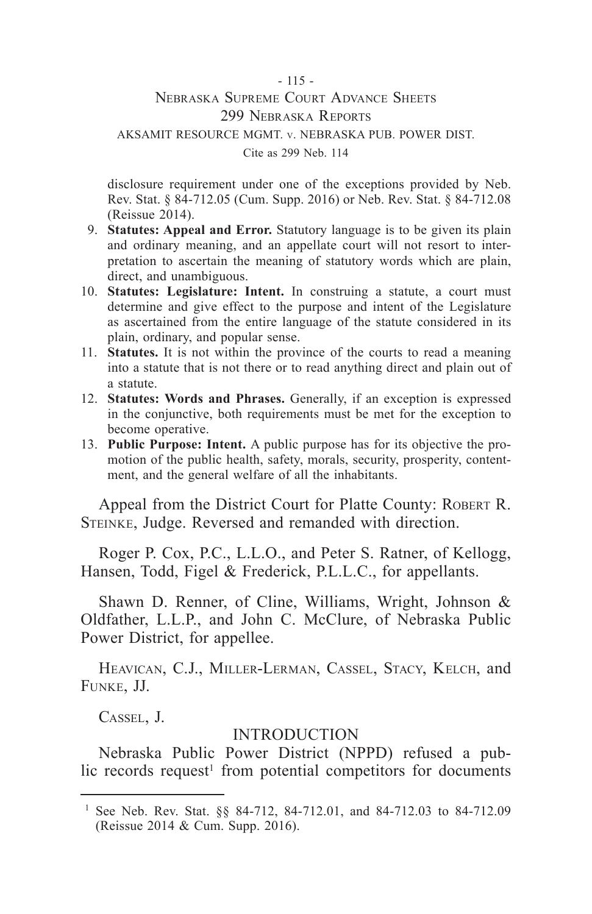#### - 115 - Nebraska Supreme Court Advance Sheets 299 Nebraska Reports AKSAMIT RESOURCE MGMT. v. NEBRASKA PUB. POWER DIST. Cite as 299 Neb. 114

disclosure requirement under one of the exceptions provided by Neb. Rev. Stat. § 84-712.05 (Cum. Supp. 2016) or Neb. Rev. Stat. § 84-712.08 (Reissue 2014).

- 9. **Statutes: Appeal and Error.** Statutory language is to be given its plain and ordinary meaning, and an appellate court will not resort to interpretation to ascertain the meaning of statutory words which are plain, direct, and unambiguous.
- 10. **Statutes: Legislature: Intent.** In construing a statute, a court must determine and give effect to the purpose and intent of the Legislature as ascertained from the entire language of the statute considered in its plain, ordinary, and popular sense.
- 11. **Statutes.** It is not within the province of the courts to read a meaning into a statute that is not there or to read anything direct and plain out of a statute.
- 12. **Statutes: Words and Phrases.** Generally, if an exception is expressed in the conjunctive, both requirements must be met for the exception to become operative.
- 13. **Public Purpose: Intent.** A public purpose has for its objective the promotion of the public health, safety, morals, security, prosperity, contentment, and the general welfare of all the inhabitants.

Appeal from the District Court for Platte County: ROBERT R. STEINKE, Judge. Reversed and remanded with direction.

Roger P. Cox, P.C., L.L.O., and Peter S. Ratner, of Kellogg, Hansen, Todd, Figel & Frederick, P.L.L.C., for appellants.

Shawn D. Renner, of Cline, Williams, Wright, Johnson & Oldfather, L.L.P., and John C. McClure, of Nebraska Public Power District, for appellee.

HEAVICAN, C.J., MILLER-LERMAN, CASSEL, STACY, KELCH, and Funke, JJ.

Cassel, J.

#### INTRODUCTION

Nebraska Public Power District (NPPD) refused a public records request<sup>1</sup> from potential competitors for documents

<sup>&</sup>lt;sup>1</sup> See Neb. Rev. Stat. §§ 84-712, 84-712.01, and 84-712.03 to 84-712.09 (Reissue 2014 & Cum. Supp. 2016).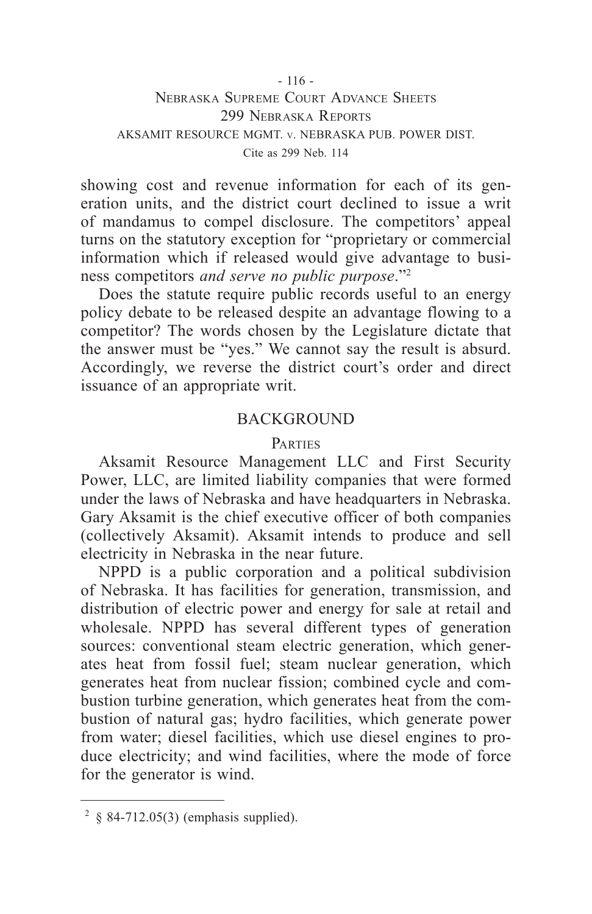#### - 116 - Nebraska Supreme Court Advance Sheets 299 Nebraska Reports AKSAMIT RESOURCE MGMT. v. NEBRASKA PUB. POWER DIST. Cite as 299 Neb. 114

showing cost and revenue information for each of its generation units, and the district court declined to issue a writ of mandamus to compel disclosure. The competitors' appeal turns on the statutory exception for "proprietary or commercial information which if released would give advantage to business competitors *and serve no public purpose*."2

Does the statute require public records useful to an energy policy debate to be released despite an advantage flowing to a competitor? The words chosen by the Legislature dictate that the answer must be "yes." We cannot say the result is absurd. Accordingly, we reverse the district court's order and direct issuance of an appropriate writ.

#### **BACKGROUND**

#### **PARTIES**

Aksamit Resource Management LLC and First Security Power, LLC, are limited liability companies that were formed under the laws of Nebraska and have headquarters in Nebraska. Gary Aksamit is the chief executive officer of both companies (collectively Aksamit). Aksamit intends to produce and sell electricity in Nebraska in the near future.

NPPD is a public corporation and a political subdivision of Nebraska. It has facilities for generation, transmission, and distribution of electric power and energy for sale at retail and wholesale. NPPD has several different types of generation sources: conventional steam electric generation, which generates heat from fossil fuel; steam nuclear generation, which generates heat from nuclear fission; combined cycle and combustion turbine generation, which generates heat from the combustion of natural gas; hydro facilities, which generate power from water; diesel facilities, which use diesel engines to produce electricity; and wind facilities, where the mode of force for the generator is wind.

 $2 \& 84-712.05(3)$  (emphasis supplied).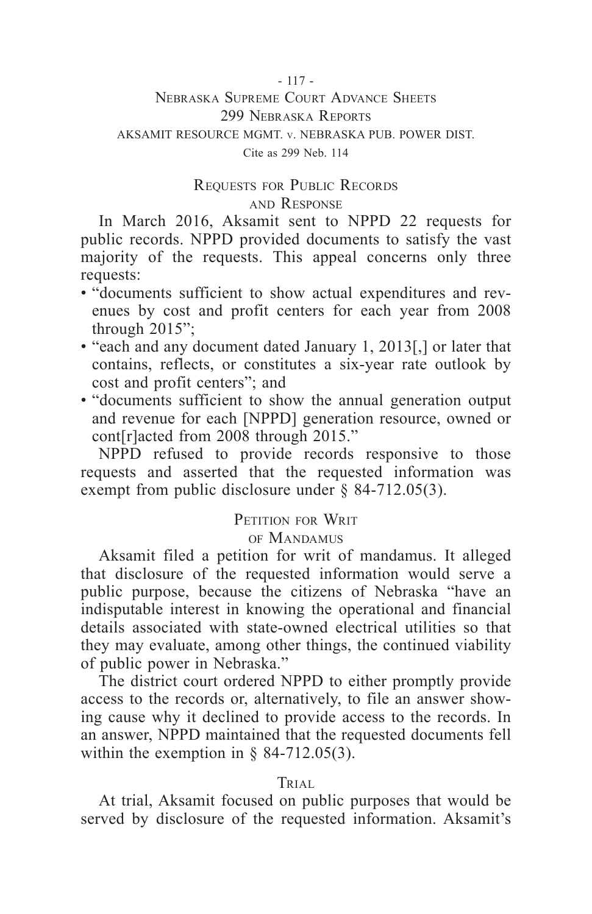#### - 117 -

#### Nebraska Supreme Court Advance Sheets 299 Nebraska Reports AKSAMIT RESOURCE MGMT. v. NEBRASKA PUB. POWER DIST. Cite as 299 Neb. 114

## Requests for Public Records and Response

In March 2016, Aksamit sent to NPPD 22 requests for public records. NPPD provided documents to satisfy the vast majority of the requests. This appeal concerns only three requests:

- "documents sufficient to show actual expenditures and revenues by cost and profit centers for each year from 2008 through 2015";
- "each and any document dated January 1, 2013[,] or later that contains, reflects, or constitutes a six-year rate outlook by cost and profit centers"; and
- "documents sufficient to show the annual generation output and revenue for each [NPPD] generation resource, owned or cont[r]acted from 2008 through 2015."

NPPD refused to provide records responsive to those requests and asserted that the requested information was exempt from public disclosure under § 84-712.05(3).

## PETITION FOR WRIT

#### of Mandamus

Aksamit filed a petition for writ of mandamus. It alleged that disclosure of the requested information would serve a public purpose, because the citizens of Nebraska "have an indisputable interest in knowing the operational and financial details associated with state-owned electrical utilities so that they may evaluate, among other things, the continued viability of public power in Nebraska."

The district court ordered NPPD to either promptly provide access to the records or, alternatively, to file an answer showing cause why it declined to provide access to the records. In an answer, NPPD maintained that the requested documents fell within the exemption in  $\S$  84-712.05(3).

#### **TRIAL**

At trial, Aksamit focused on public purposes that would be served by disclosure of the requested information. Aksamit's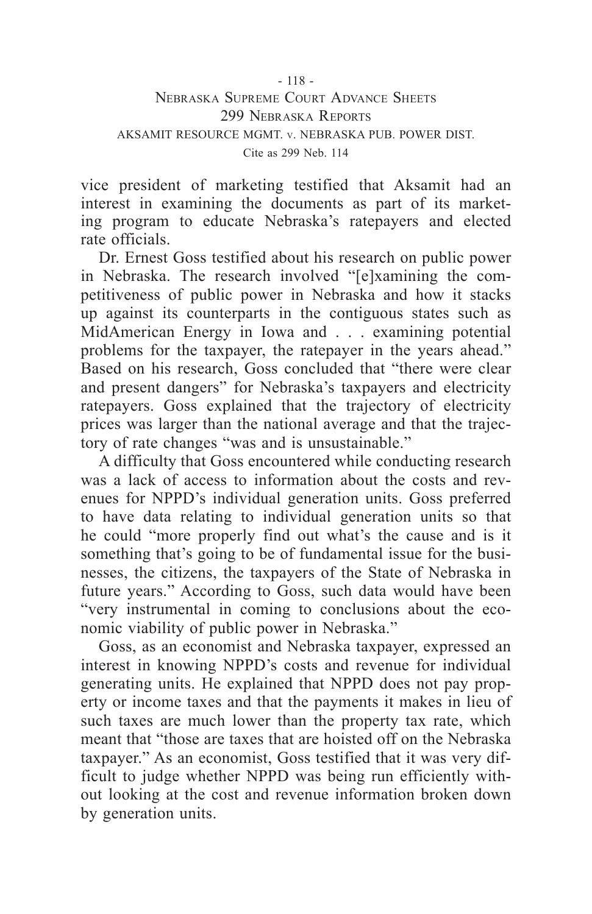#### - 118 - Nebraska Supreme Court Advance Sheets 299 Nebraska Reports AKSAMIT RESOURCE MGMT. v. NEBRASKA PUB. POWER DIST. Cite as 299 Neb. 114

vice president of marketing testified that Aksamit had an interest in examining the documents as part of its marketing program to educate Nebraska's ratepayers and elected rate officials.

Dr. Ernest Goss testified about his research on public power in Nebraska. The research involved "[e]xamining the competitiveness of public power in Nebraska and how it stacks up against its counterparts in the contiguous states such as MidAmerican Energy in Iowa and . . . examining potential problems for the taxpayer, the ratepayer in the years ahead." Based on his research, Goss concluded that "there were clear and present dangers" for Nebraska's taxpayers and electricity ratepayers. Goss explained that the trajectory of electricity prices was larger than the national average and that the trajectory of rate changes "was and is unsustainable."

A difficulty that Goss encountered while conducting research was a lack of access to information about the costs and revenues for NPPD's individual generation units. Goss preferred to have data relating to individual generation units so that he could "more properly find out what's the cause and is it something that's going to be of fundamental issue for the businesses, the citizens, the taxpayers of the State of Nebraska in future years." According to Goss, such data would have been "very instrumental in coming to conclusions about the economic viability of public power in Nebraska."

Goss, as an economist and Nebraska taxpayer, expressed an interest in knowing NPPD's costs and revenue for individual generating units. He explained that NPPD does not pay property or income taxes and that the payments it makes in lieu of such taxes are much lower than the property tax rate, which meant that "those are taxes that are hoisted off on the Nebraska taxpayer." As an economist, Goss testified that it was very difficult to judge whether NPPD was being run efficiently without looking at the cost and revenue information broken down by generation units.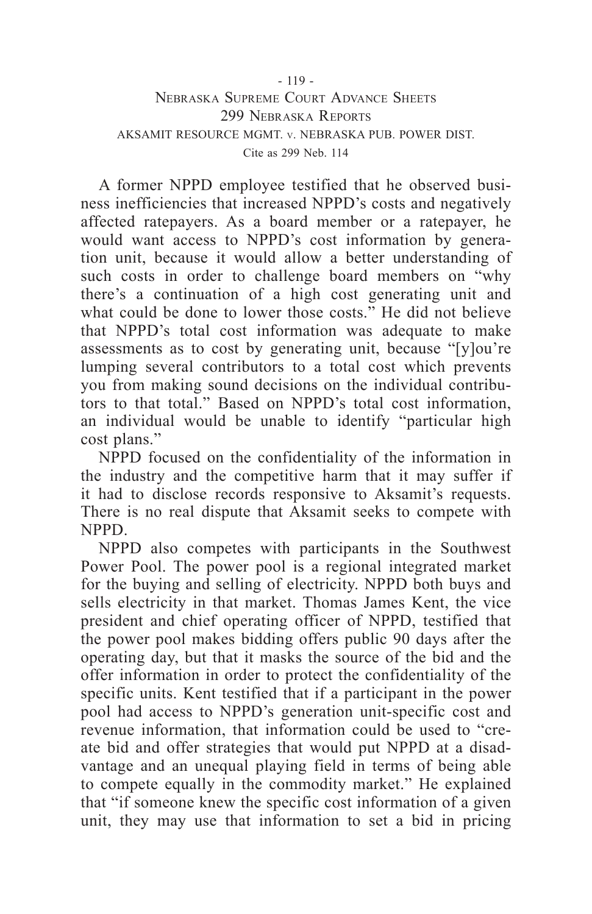#### - 119 - Nebraska Supreme Court Advance Sheets 299 Nebraska Reports AKSAMIT RESOURCE MGMT. v. NEBRASKA PUB. POWER DIST. Cite as 299 Neb. 114

A former NPPD employee testified that he observed business inefficiencies that increased NPPD's costs and negatively affected ratepayers. As a board member or a ratepayer, he would want access to NPPD's cost information by generation unit, because it would allow a better understanding of such costs in order to challenge board members on "why" there's a continuation of a high cost generating unit and what could be done to lower those costs." He did not believe that NPPD's total cost information was adequate to make assessments as to cost by generating unit, because "[y]ou're lumping several contributors to a total cost which prevents you from making sound decisions on the individual contributors to that total." Based on NPPD's total cost information, an individual would be unable to identify "particular high cost plans."

NPPD focused on the confidentiality of the information in the industry and the competitive harm that it may suffer if it had to disclose records responsive to Aksamit's requests. There is no real dispute that Aksamit seeks to compete with NPPD.

NPPD also competes with participants in the Southwest Power Pool. The power pool is a regional integrated market for the buying and selling of electricity. NPPD both buys and sells electricity in that market. Thomas James Kent, the vice president and chief operating officer of NPPD, testified that the power pool makes bidding offers public 90 days after the operating day, but that it masks the source of the bid and the offer information in order to protect the confidentiality of the specific units. Kent testified that if a participant in the power pool had access to NPPD's generation unit-specific cost and revenue information, that information could be used to "create bid and offer strategies that would put NPPD at a disadvantage and an unequal playing field in terms of being able to compete equally in the commodity market." He explained that "if someone knew the specific cost information of a given unit, they may use that information to set a bid in pricing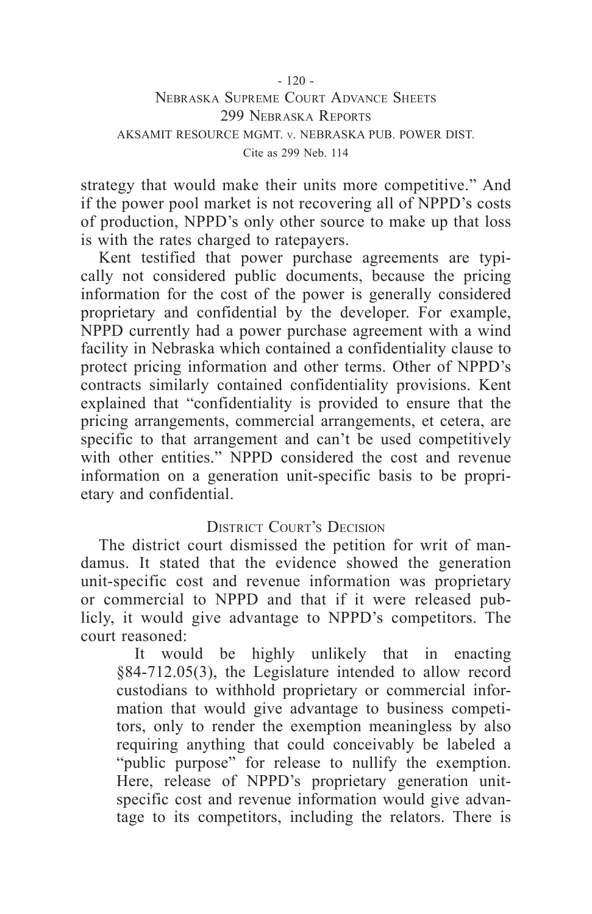### - 120 - Nebraska Supreme Court Advance Sheets 299 Nebraska Reports AKSAMIT RESOURCE MGMT. v. NEBRASKA PUB. POWER DIST. Cite as 299 Neb. 114

strategy that would make their units more competitive." And if the power pool market is not recovering all of NPPD's costs of production, NPPD's only other source to make up that loss is with the rates charged to ratepayers.

Kent testified that power purchase agreements are typically not considered public documents, because the pricing information for the cost of the power is generally considered proprietary and confidential by the developer. For example, NPPD currently had a power purchase agreement with a wind facility in Nebraska which contained a confidentiality clause to protect pricing information and other terms. Other of NPPD's contracts similarly contained confidentiality provisions. Kent explained that "confidentiality is provided to ensure that the pricing arrangements, commercial arrangements, et cetera, are specific to that arrangement and can't be used competitively with other entities." NPPD considered the cost and revenue information on a generation unit-specific basis to be proprietary and confidential.

#### DISTRICT COURT'S DECISION

The district court dismissed the petition for writ of mandamus. It stated that the evidence showed the generation unit-specific cost and revenue information was proprietary or commercial to NPPD and that if it were released publicly, it would give advantage to NPPD's competitors. The court reasoned:

It would be highly unlikely that in enacting §84-712.05(3), the Legislature intended to allow record custodians to withhold proprietary or commercial information that would give advantage to business competitors, only to render the exemption meaningless by also requiring anything that could conceivably be labeled a "public purpose" for release to nullify the exemption. Here, release of NPPD's proprietary generation unitspecific cost and revenue information would give advantage to its competitors, including the relators. There is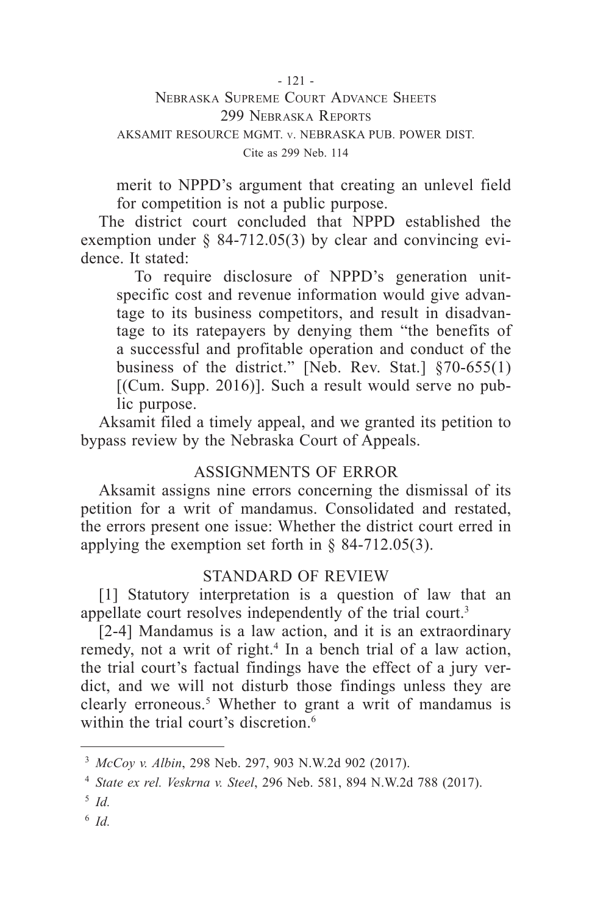#### - 121 - Nebraska Supreme Court Advance Sheets 299 Nebraska Reports AKSAMIT RESOURCE MGMT. v. NEBRASKA PUB. POWER DIST. Cite as 299 Neb. 114

merit to NPPD's argument that creating an unlevel field for competition is not a public purpose.

The district court concluded that NPPD established the exemption under § 84-712.05(3) by clear and convincing evidence. It stated:

To require disclosure of NPPD's generation unitspecific cost and revenue information would give advantage to its business competitors, and result in disadvantage to its ratepayers by denying them "the benefits of a successful and profitable operation and conduct of the business of the district." [Neb. Rev. Stat.] §70-655(1) [(Cum. Supp. 2016)]. Such a result would serve no public purpose.

Aksamit filed a timely appeal, and we granted its petition to bypass review by the Nebraska Court of Appeals.

## ASSIGNMENTS OF ERROR

Aksamit assigns nine errors concerning the dismissal of its petition for a writ of mandamus. Consolidated and restated, the errors present one issue: Whether the district court erred in applying the exemption set forth in § 84-712.05(3).

## STANDARD OF REVIEW

[1] Statutory interpretation is a question of law that an appellate court resolves independently of the trial court.<sup>3</sup>

[2-4] Mandamus is a law action, and it is an extraordinary remedy, not a writ of right.<sup>4</sup> In a bench trial of a law action, the trial court's factual findings have the effect of a jury verdict, and we will not disturb those findings unless they are clearly erroneous.5 Whether to grant a writ of mandamus is within the trial court's discretion.<sup>6</sup>

<sup>6</sup> *Id.*

<sup>3</sup> *McCoy v. Albin*, 298 Neb. 297, 903 N.W.2d 902 (2017).

<sup>4</sup> *State ex rel. Veskrna v. Steel*, 296 Neb. 581, 894 N.W.2d 788 (2017).

<sup>5</sup> *Id.*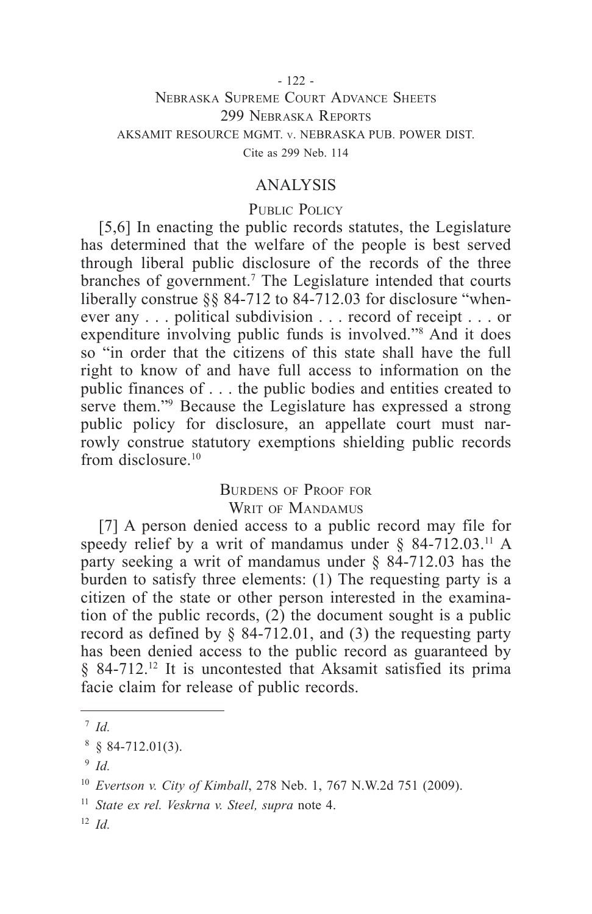#### - 122 - Nebraska Supreme Court Advance Sheets 299 Nebraska Reports AKSAMIT RESOURCE MGMT. v. NEBRASKA PUB. POWER DIST. Cite as 299 Neb. 114

#### ANALYSIS

#### PUBLIC POLICY

[5,6] In enacting the public records statutes, the Legislature has determined that the welfare of the people is best served through liberal public disclosure of the records of the three branches of government.<sup>7</sup> The Legislature intended that courts liberally construe §§ 84-712 to 84-712.03 for disclosure "whenever any . . . political subdivision . . . record of receipt . . . or expenditure involving public funds is involved."8 And it does so "in order that the citizens of this state shall have the full right to know of and have full access to information on the public finances of . . . the public bodies and entities created to serve them."9 Because the Legislature has expressed a strong public policy for disclosure, an appellate court must narrowly construe statutory exemptions shielding public records from disclosure. $10$ 

#### Burdens of Proof for

WRIT OF MANDAMUS

[7] A person denied access to a public record may file for speedy relief by a writ of mandamus under  $\S$  84-712.03.<sup>11</sup> A party seeking a writ of mandamus under § 84-712.03 has the burden to satisfy three elements: (1) The requesting party is a citizen of the state or other person interested in the examination of the public records,  $(2)$  the document sought is a public record as defined by § 84-712.01, and (3) the requesting party has been denied access to the public record as guaranteed by § 84-712.<sup>12</sup> It is uncontested that Aksamit satisfied its prima facie claim for release of public records.

<sup>7</sup> *Id.*

 $8 \& 84 - 712.01(3)$ .

<sup>9</sup> *Id.*

<sup>10</sup> *Evertson v. City of Kimball*, 278 Neb. 1, 767 N.W.2d 751 (2009).

<sup>11</sup> *State ex rel. Veskrna v. Steel, supra* note 4.

<sup>12</sup> *Id.*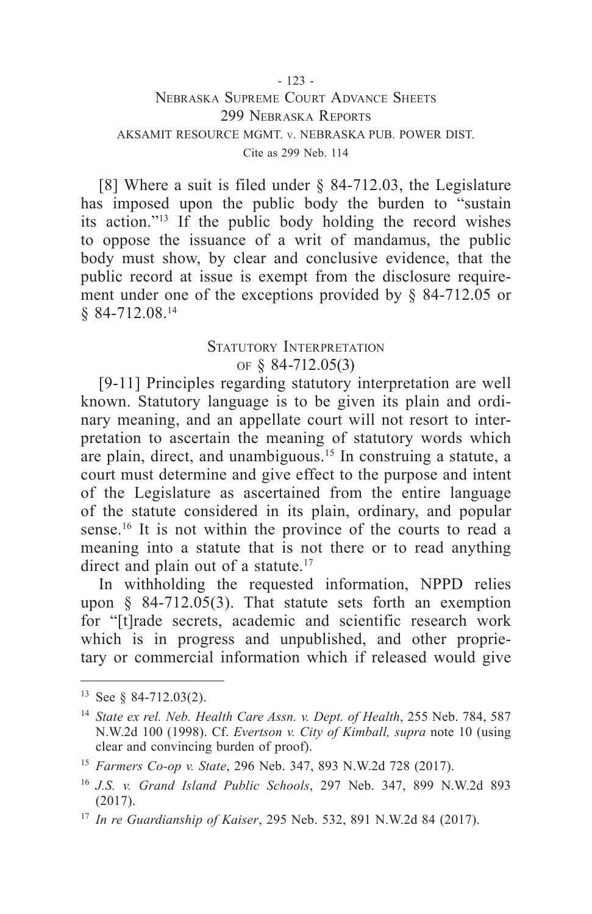#### - 123 - Nebraska Supreme Court Advance Sheets 299 Nebraska Reports AKSAMIT RESOURCE MGMT. v. NEBRASKA PUB. POWER DIST. Cite as 299 Neb. 114

[8] Where a suit is filed under § 84-712.03, the Legislature has imposed upon the public body the burden to "sustain" its action."13 If the public body holding the record wishes to oppose the issuance of a writ of mandamus, the public body must show, by clear and conclusive evidence, that the public record at issue is exempt from the disclosure requirement under one of the exceptions provided by § 84-712.05 or § 84-712.08.14

## STATUTORY INTERPRETATION of § 84-712.05(3)

[9-11] Principles regarding statutory interpretation are well known. Statutory language is to be given its plain and ordinary meaning, and an appellate court will not resort to interpretation to ascertain the meaning of statutory words which are plain, direct, and unambiguous.<sup>15</sup> In construing a statute, a court must determine and give effect to the purpose and intent of the Legislature as ascertained from the entire language of the statute considered in its plain, ordinary, and popular sense.<sup>16</sup> It is not within the province of the courts to read a meaning into a statute that is not there or to read anything direct and plain out of a statute.<sup>17</sup>

In withholding the requested information, NPPD relies upon § 84-712.05(3). That statute sets forth an exemption for "[t]rade secrets, academic and scientific research work which is in progress and unpublished, and other proprietary or commercial information which if released would give

<sup>13</sup> See § 84-712.03(2).

<sup>14</sup> *State ex rel. Neb. Health Care Assn. v. Dept. of Health*, 255 Neb. 784, 587 N.W.2d 100 (1998). Cf. *Evertson v. City of Kimball, supra* note 10 (using clear and convincing burden of proof).

<sup>15</sup> *Farmers Co-op v. State*, 296 Neb. 347, 893 N.W.2d 728 (2017).

<sup>16</sup> *J.S. v. Grand Island Public Schools*, 297 Neb. 347, 899 N.W.2d 893 (2017).

<sup>17</sup> *In re Guardianship of Kaiser*, 295 Neb. 532, 891 N.W.2d 84 (2017).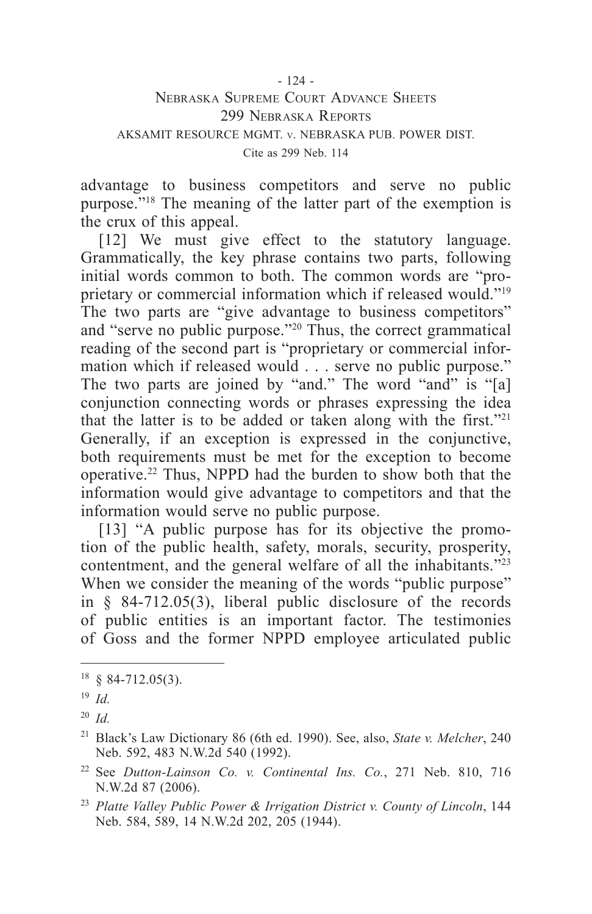#### - 124 - Nebraska Supreme Court Advance Sheets 299 Nebraska Reports AKSAMIT RESOURCE MGMT. v. NEBRASKA PUB. POWER DIST. Cite as 299 Neb. 114

advantage to business competitors and serve no public purpose."18 The meaning of the latter part of the exemption is the crux of this appeal.

[12] We must give effect to the statutory language. Grammatically, the key phrase contains two parts, following initial words common to both. The common words are "proprietary or commercial information which if released would."19 The two parts are "give advantage to business competitors" and "serve no public purpose."20 Thus, the correct grammatical reading of the second part is "proprietary or commercial information which if released would . . . serve no public purpose." The two parts are joined by "and." The word "and" is "[a] conjunction connecting words or phrases expressing the idea that the latter is to be added or taken along with the first."21 Generally, if an exception is expressed in the conjunctive, both requirements must be met for the exception to become operative.22 Thus, NPPD had the burden to show both that the information would give advantage to competitors and that the information would serve no public purpose.

[13] "A public purpose has for its objective the promotion of the public health, safety, morals, security, prosperity, contentment, and the general welfare of all the inhabitants."23 When we consider the meaning of the words "public purpose" in § 84-712.05(3), liberal public disclosure of the records of public entities is an important factor. The testimonies of Goss and the former NPPD employee articulated public

 $18 \text{ } $84-712.05(3)$ .

<sup>19</sup> *Id.*

<sup>20</sup> *Id.*

<sup>21</sup> Black's Law Dictionary 86 (6th ed. 1990). See, also, *State v. Melcher*, 240 Neb. 592, 483 N.W.2d 540 (1992).

<sup>22</sup> See *Dutton-Lainson Co. v. Continental Ins. Co.*, 271 Neb. 810, 716 N.W.2d 87 (2006).

<sup>23</sup> *Platte Valley Public Power & Irrigation District v. County of Lincoln*, 144 Neb. 584, 589, 14 N.W.2d 202, 205 (1944).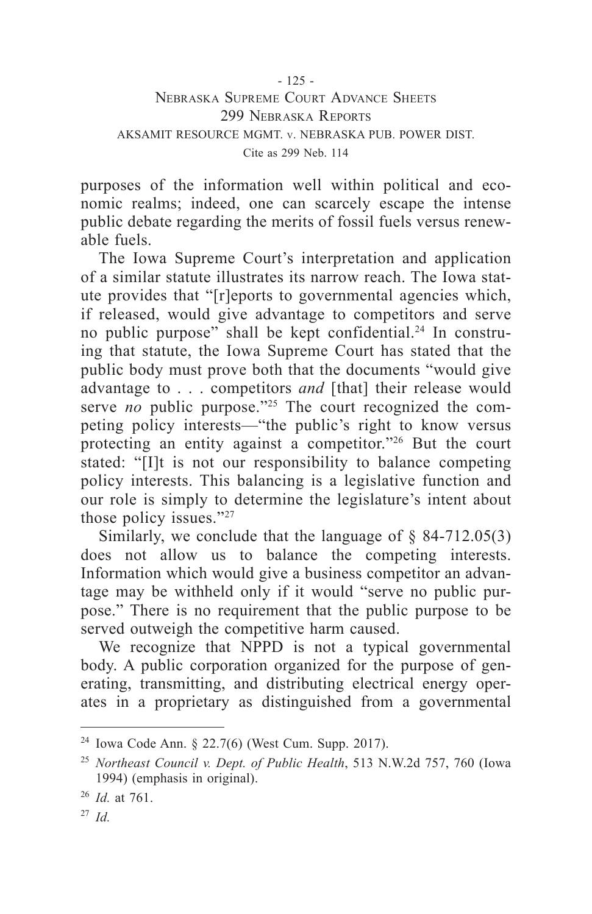### - 125 - Nebraska Supreme Court Advance Sheets 299 Nebraska Reports AKSAMIT RESOURCE MGMT. v. NEBRASKA PUB. POWER DIST. Cite as 299 Neb. 114

purposes of the information well within political and economic realms; indeed, one can scarcely escape the intense public debate regarding the merits of fossil fuels versus renewable fuels.

The Iowa Supreme Court's interpretation and application of a similar statute illustrates its narrow reach. The Iowa statute provides that "[r]eports to governmental agencies which, if released, would give advantage to competitors and serve no public purpose" shall be kept confidential.24 In construing that statute, the Iowa Supreme Court has stated that the public body must prove both that the documents "would give advantage to . . . competitors *and* [that] their release would serve *no* public purpose."<sup>25</sup> The court recognized the competing policy interests—"the public's right to know versus protecting an entity against a competitor."26 But the court stated: "[I]t is not our responsibility to balance competing policy interests. This balancing is a legislative function and our role is simply to determine the legislature's intent about those policy issues."<sup>27</sup>

Similarly, we conclude that the language of  $\S$  84-712.05(3) does not allow us to balance the competing interests. Information which would give a business competitor an advantage may be withheld only if it would "serve no public purpose." There is no requirement that the public purpose to be served outweigh the competitive harm caused.

We recognize that NPPD is not a typical governmental body. A public corporation organized for the purpose of generating, transmitting, and distributing electrical energy operates in a proprietary as distinguished from a governmental

<sup>24</sup> Iowa Code Ann. § 22.7(6) (West Cum. Supp. 2017).

<sup>25</sup> *Northeast Council v. Dept. of Public Health*, 513 N.W.2d 757, 760 (Iowa 1994) (emphasis in original).

<sup>26</sup> *Id.* at 761.

<sup>27</sup> *Id.*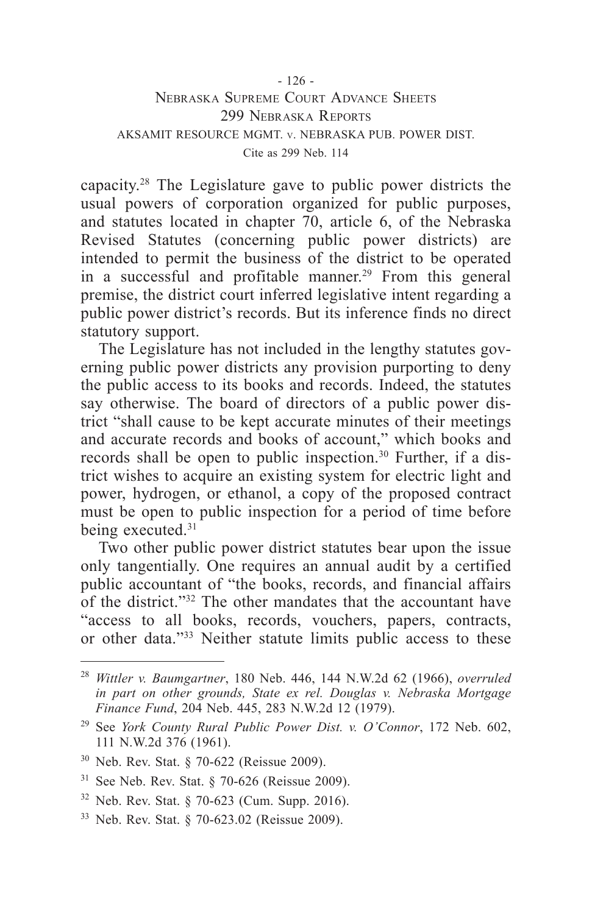#### - 126 - Nebraska Supreme Court Advance Sheets 299 Nebraska Reports AKSAMIT RESOURCE MGMT. v. NEBRASKA PUB. POWER DIST. Cite as 299 Neb. 114

capacity.28 The Legislature gave to public power districts the usual powers of corporation organized for public purposes, and statutes located in chapter 70, article 6, of the Nebraska Revised Statutes (concerning public power districts) are intended to permit the business of the district to be operated in a successful and profitable manner.<sup>29</sup> From this general premise, the district court inferred legislative intent regarding a public power district's records. But its inference finds no direct statutory support.

The Legislature has not included in the lengthy statutes governing public power districts any provision purporting to deny the public access to its books and records. Indeed, the statutes say otherwise. The board of directors of a public power district "shall cause to be kept accurate minutes of their meetings and accurate records and books of account," which books and records shall be open to public inspection.30 Further, if a district wishes to acquire an existing system for electric light and power, hydrogen, or ethanol, a copy of the proposed contract must be open to public inspection for a period of time before being executed.<sup>31</sup>

Two other public power district statutes bear upon the issue only tangentially. One requires an annual audit by a certified public accountant of "the books, records, and financial affairs of the district."32 The other mandates that the accountant have "access to all books, records, vouchers, papers, contracts, or other data."33 Neither statute limits public access to these

- <sup>30</sup> Neb. Rev. Stat. § 70-622 (Reissue 2009).
- <sup>31</sup> See Neb. Rev. Stat. § 70-626 (Reissue 2009).
- <sup>32</sup> Neb. Rev. Stat. § 70-623 (Cum. Supp. 2016).
- <sup>33</sup> Neb. Rev. Stat. § 70-623.02 (Reissue 2009).

<sup>28</sup> *Wittler v. Baumgartner*, 180 Neb. 446, 144 N.W.2d 62 (1966), *overruled in part on other grounds, State ex rel. Douglas v. Nebraska Mortgage Finance Fund*, 204 Neb. 445, 283 N.W.2d 12 (1979).

<sup>29</sup> See *York County Rural Public Power Dist. v. O'Connor*, 172 Neb. 602, 111 N.W.2d 376 (1961).